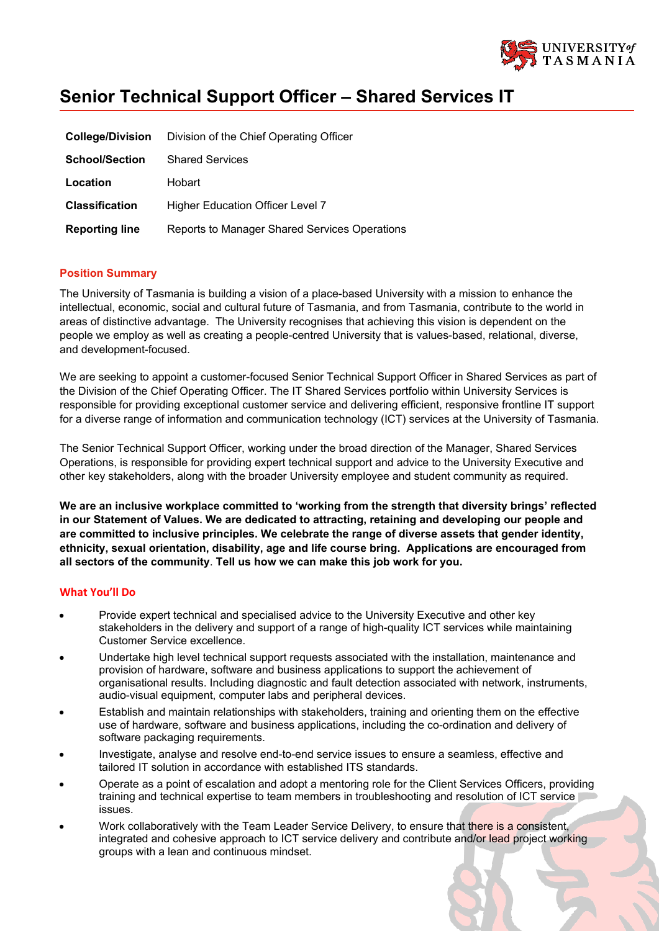

# **Senior Technical Support Officer – Shared Services IT**

| <b>College/Division</b> | Division of the Chief Operating Officer              |
|-------------------------|------------------------------------------------------|
| <b>School/Section</b>   | <b>Shared Services</b>                               |
| Location                | Hobart                                               |
| <b>Classification</b>   | Higher Education Officer Level 7                     |
| <b>Reporting line</b>   | <b>Reports to Manager Shared Services Operations</b> |

## **Position Summary**

The University of Tasmania is building a vision of a place-based University with a mission to enhance the intellectual, economic, social and cultural future of Tasmania, and from Tasmania, contribute to the world in areas of distinctive advantage. The University recognises that achieving this vision is dependent on the people we employ as well as creating a people-centred University that is values-based, relational, diverse, and development-focused.

We are seeking to appoint a customer-focused Senior Technical Support Officer in Shared Services as part of the Division of the Chief Operating Officer. The IT Shared Services portfolio within University Services is responsible for providing exceptional customer service and delivering efficient, responsive frontline IT support for a diverse range of information and communication technology (ICT) services at the University of Tasmania.

The Senior Technical Support Officer, working under the broad direction of the Manager, Shared Services Operations, is responsible for providing expert technical support and advice to the University Executive and other key stakeholders, along with the broader University employee and student community as required.

**We are an inclusive workplace committed to 'working from the strength that diversity brings' reflected in our Statement of Values. We are dedicated to attracting, retaining and developing our people and are committed to inclusive principles. We celebrate the range of diverse assets that gender identity, ethnicity, sexual orientation, disability, age and life course bring. Applications are encouraged from all sectors of the community**. **Tell us how we can make this job work for you.**

#### **What You'll Do**

- Provide expert technical and specialised advice to the University Executive and other key stakeholders in the delivery and support of a range of high-quality ICT services while maintaining Customer Service excellence.
- Undertake high level technical support requests associated with the installation, maintenance and provision of hardware, software and business applications to support the achievement of organisational results. Including diagnostic and fault detection associated with network, instruments, audio-visual equipment, computer labs and peripheral devices.
- Establish and maintain relationships with stakeholders, training and orienting them on the effective use of hardware, software and business applications, including the co-ordination and delivery of software packaging requirements.
- Investigate, analyse and resolve end-to-end service issues to ensure a seamless, effective and tailored IT solution in accordance with established ITS standards.
- Operate as a point of escalation and adopt a mentoring role for the Client Services Officers, providing training and technical expertise to team members in troubleshooting and resolution of ICT service issues.
- Work collaboratively with the Team Leader Service Delivery, to ensure that there is a consistent, integrated and cohesive approach to ICT service delivery and contribute and/or lead project working groups with a lean and continuous mindset.